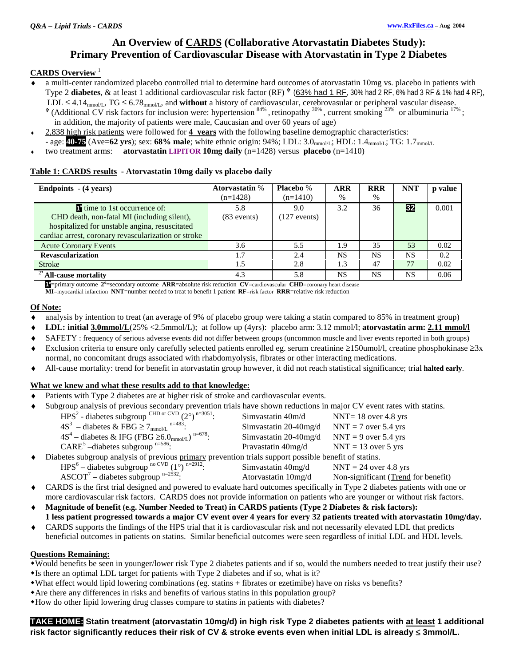# **An Overview of CARDS (Collaborative Atorvastatin Diabetes Study): Primary Prevention of Cardiovascular Disease with Atorvastatin in Type 2 Diabetes**

### **CARDS Overview** <sup>1</sup>

- a multi-center randomized placebo controlled trial to determine hard outcomes of atorvastatin 10mg vs. placebo in patients with Type 2 **diabetes**, & at least 1 additional cardiovascular risk factor (RF) (63% had 1 RF, 30% had 2 RF, 6% had 3 RF & 1% had 4 RF),
	- LDL  $\leq 4.14_{\text{mmol/L}}$ , TG  $\leq 6.78_{\text{mmol/L}}$ , and **without** a history of cardiovascular, cerebrovasular or peripheral vascular disease.<br><sup>†</sup> (Additional CV risk factors for inclusion were: hypertension <sup>84%</sup>, retinopathy
- ♦ 2,838 high risk patients were followed for **4 years** with the following baseline demographic characteristics:
- age: **40-75** (Ave=**62 yrs**); sex: **68% male**; white ethnic origin: 94%; LDL: 3.0mmol/L; HDL: 1.4mmol/L; TG: 1.7mmol/L
- ♦ two treatment arms: **atorvastatin LIPITOR 10mg daily** (n=1428) versus **placebo** (n=1410)

#### **Table 1: CARDS results - Atorvastatin 10mg daily vs placebo daily**

| Endpoints - (4 years)                                                                                                                                                                                         | <b>Atorvastatin</b> % | <b>Placebo</b> %      | <b>ARR</b> | <b>RRR</b> | <b>NNT</b> | p value |
|---------------------------------------------------------------------------------------------------------------------------------------------------------------------------------------------------------------|-----------------------|-----------------------|------------|------------|------------|---------|
|                                                                                                                                                                                                               | $(n=1428)$            | $(n=1410)$            | $\%$       | $\%$       |            |         |
| <sup>1</sup> <sup>t</sup> time to 1st occurrence of:<br>CHD death, non-fatal MI (including silent),<br>hospitalized for unstable angina, resuscitated<br>cardiac arrest, coronary revascularization or stroke | 5.8<br>$(83$ events)  | 9.0<br>$(127$ events) | 3.2        | 36         | 32         | 0.001   |
| <b>Acute Coronary Events</b>                                                                                                                                                                                  | 3.6                   | 5.5                   | 1.9        | 35         | 53         | 0.02    |
| <b>Revascularization</b>                                                                                                                                                                                      | 1.7                   | 2.4                   | NS         | <b>NS</b>  | <b>NS</b>  | 0.2     |
| Stroke                                                                                                                                                                                                        | 1.5                   | 2.8                   | 1.3        | 47         | 77         | 0.02    |
| $\overline{a}$ All-cause mortality                                                                                                                                                                            | 4.3                   | 5.8                   | <b>NS</b>  | <b>NS</b>  | <b>NS</b>  | 0.06    |

**1 p**rimary outcome **2**<sup>*o*</sup>=secondary outcome **ARR**=absolute risk reduction **CV**=cardiovascular **CHD**=coronary heart disease **MI**=myocardial infarction **NNT**=number needed to treat to benefit 1 patient **RF**=risk factor **RRR**=relative risk reduction

#### **Of Note:**

- analysis by intention to treat (an average of 9% of placebo group were taking a statin compared to 85% in treatment group)
- **LDL: initial**  $\frac{3.0 \text{mmol/L}}{25\%}$  <2.5mmol/L); at follow up (4yrs): placebo arm: 3.12 mmol/l; **atorvastatin arm:** 2.11 mmol/l
- SAFETY : frequency of serious adverse events did not differ between groups (uncommon muscle and liver events reported in both groups)
- Exclusion criteria to ensure only carefully selected patients enrolled eg. serum creatinine ≥150umol/l, creatine phosphokinase ≥3x normal, no concomitant drugs associated with rhabdomyolysis, fibrates or other interacting medications.
- ♦ All-cause mortality: trend for benefit in atorvastatin group however, it did not reach statistical significance; trial **halted early**.

#### **What we knew and what these results add to that knowledge:**

- Patients with Type 2 diabetes are at higher risk of stroke and cardiovascular events.
- Subgroup analysis of previous secondary prevention trials have shown reductions in major CV event rates with statins.

|           | HPS <sup>2</sup> - diabetes subgroup <sup>CHD</sup> or CVD $(2^{\circ})$ <sup>n=3051</sup> :          | Simvastatin 40m/d                          | NNT= $18$ over 4.8 yrs |  |  |  |  |
|-----------|-------------------------------------------------------------------------------------------------------|--------------------------------------------|------------------------|--|--|--|--|
|           | $4S^3$ – diabetes & FBG $\geq 7$ <sub>mmol/L</sub> n <sup>=483</sup> :                                | Simvastatin 20-40mg/d NNT = 7 over 5.4 yrs |                        |  |  |  |  |
|           | 4S <sup>4</sup> – diabetes & IFG (FBG $\geq$ 6.0 <sub>mmol/L</sub> ) <sup>n=678</sup> :               | Simvastatin 20-40mg/d                      | $NNT = 9$ over 5.4 yrs |  |  |  |  |
|           | CARE <sup>5</sup> -diabetes subgroup $n=586$ .                                                        | Pravastatin 40mg/d                         | $NNT = 13$ over 5 yrs  |  |  |  |  |
| $\bullet$ | Diabetes subgroup analysis of previous primary prevention trials support possible benefit of statins. |                                            |                        |  |  |  |  |
|           | $6 \t n_0$ $\binom{V}{V}$ $n_2 - 2012$                                                                |                                            |                        |  |  |  |  |

- $HPS^6$  diabetes subgroup <sup>no CVD</sup> (1<sup>o</sup>) <sup>n=2912</sup>: Simvastatin 40mg/d NNT = 24 over 4.8 yrs  $\text{ASCOT}^7$  – diabetes subgroup  $n=2532$ . Atorvastatin  $10mg/d$  Non-significant (Trend for benefit)
- CARDS is the first trial designed and powered to evaluate hard outcomes specifically in Type 2 diabetes patients with one or more cardiovascular risk factors. CARDS does not provide information on patients who are younger or without risk factors.
- ♦ **Magnitude of benefit (e.g. Number Needed to Treat) in CARDS patients (Type 2 Diabetes & risk factors): 1 less patient progressed towards a major CV event over 4 years for every 32 patients treated with atorvastatin 10mg/day.**
- CARDS supports the findings of the HPS trial that it is cardiovascular risk and not necessarily elevated LDL that predicts beneficial outcomes in patients on statins. Similar beneficial outcomes were seen regardless of initial LDL and HDL levels.

#### **Questions Remaining:**

- Would benefits be seen in younger/lower risk Type 2 diabetes patients and if so, would the numbers needed to treat justify their use?
- Is there an optimal LDL target for patients with Type 2 diabetes and if so, what is it?
- What effect would lipid lowering combinations (eg. statins + fibrates or ezetimibe) have on risks vs benefits?
- Are there any differences in risks and benefits of various statins in this population group?
- How do other lipid lowering drug classes compare to statins in patients with diabetes?

## **TAKE HOME: Statin treatment (atorvastatin 10mg/d) in high risk Type 2 diabetes patients with at least 1 additional risk factor significantly reduces their risk of CV & stroke events even when initial LDL is already** ≤ **3mmol/L.**